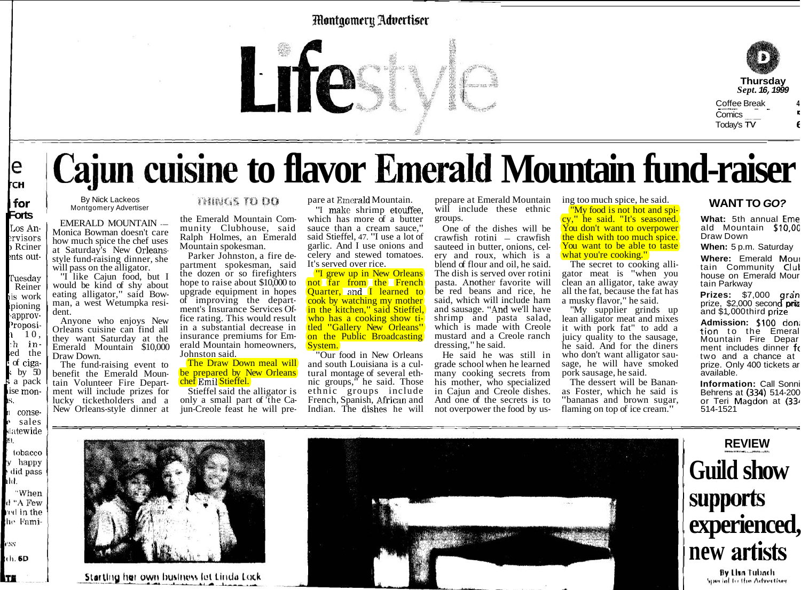### **Montgomery Advertiser**



# Cajun cuisine to flavor Emerald Mountain fund-raiser

| for Forts Los An-Monica Bowman doesn't care ervisors how much spice the chef uses Rciner at Saturday's New Orleansents outstyle fund-raising dinner, she

i a pack

ise mon-

conse-

ŀs.

ıkl.

**CSS** 

TE

le ŀсн

will pass on the alligator. "I like Cajun food, but I Tuesday Reiner would be kind of shy about eating alligator," said Bowis work man, a west Wetumpka resiipioning dent. -approv-Anyone who enjoys New 'roposi-Orleans cuisine can find all  $1\quad 10$ , they want Saturday at the h in-Emerald Mountain \$10,000 ed the Draw Down. of ciga-The fund-raising event to by  $50$ 

benefit the Emerald Mountain Volunteer Fire Department will include prizes for lucky ticketholders and a New Orleans-style dinner at

By Nick Lackeos

Montgomery Advertiser

**EMERALD MOUNTAIN --**

**MUSTODO** 

the Emerald Mountain Community Clubhouse, said Ralph Holmes, an Emerald Mountain spokesman.

Parker Johnston, a fire department spokesman, said the dozen or so firefighters hope to raise about \$10,000 to upgrade equipment in hopes of improving the department's Insurance Services Office rating. This would result in a substantial decrease in insurance premiums for Emerald Mountain homeowners. Johnston said.

The Draw Down meal will be prepared by New Orleans chef Emil Stieffel.

Stieffel said the alligator is only a small part of the Cajun-Creole feast he will prepare at Emerald Mountain.

"I make shrimp etouffee. which has more of a butter sauce than a cream sauce," said Stieffel, 47. "I use a lot of garlic. And I use onions and celery and stewed tomatoes. It's served over rice.

"I grew up in New Orleans" not far from the French Quarter, and I learned to cook by watching my mother in the kitchen," said Stieffel,<br>who has a cooking show titled "Gallery New Orleans" on the Public Broadcasting System.

"Our food in New Orleans and south Louisiana is a cultural montage of several ethnic groups," he said. Those ethnic groups include French, Spanish, African and Indian. The dishes he will

prepare at Emerald Mountain will include these ethnic groups.

One of the dishes will be crawfish rotini - crawfish sauteed in butter, onions, celery and roux, which is a blend of flour and oil, he said. The dish is served over rotini pasta. Another favorite will be red beans and rice, he said, which will include ham and sausage. "And we'll have shrimp and pasta salad, which is made with Creole mustard and a Creole ranch dressing," he said.

He said he was still in grade school when he learned many cooking secrets from his mother, who specialized in Cajun and Creole dishes. And one of the secrets is to not overpower the food by us-

ing too much spice, he said. "My food is not hot and spicy," he said. "It's seasoned. You don't want to overpower the dish with too much spice. You want to be able to taste what you're cooking."

The secret to cooking alligator meat is "when you clean an alligator, take away all the fat, because the fat has a musky flavor," he said.

"My supplier grinds up lean alligator meat and mixes it with pork fat" to add a juicy quality to the sausage, he said. And for the diners who don't want alligator sausage, he will have smoked pork sausage, he said.

The dessert will be Bananas Foster, which he said is "bananas and brown sugar, flaming on top of ice cream."

### **WANT TO GO?**

What: 5th annual Eme ald Mountain \$10,00 Draw Down

When: 5 p.m. Saturday

Where: Emerald Mour<br>tain Community Club house on Emerald Mour tain Parkway

Prizes: \$7,000 gran prize,  $$2,000$  second priz and \$1,000third prize

Admission: \$100 dona tion to the Emeral Mountain Fire Depar<br>ment includes dinner fo two and a chance at prize. Only 400 tickets ar available.

**Information: Call Sonni** Behrens at (334) 514-200 or Teri Magdon at (334 514-1521



Starting her own business let Linda Lock



## **REVIEW Guild show supports** experienced, new artists By Lisa Tubach

Special to the Advectiser